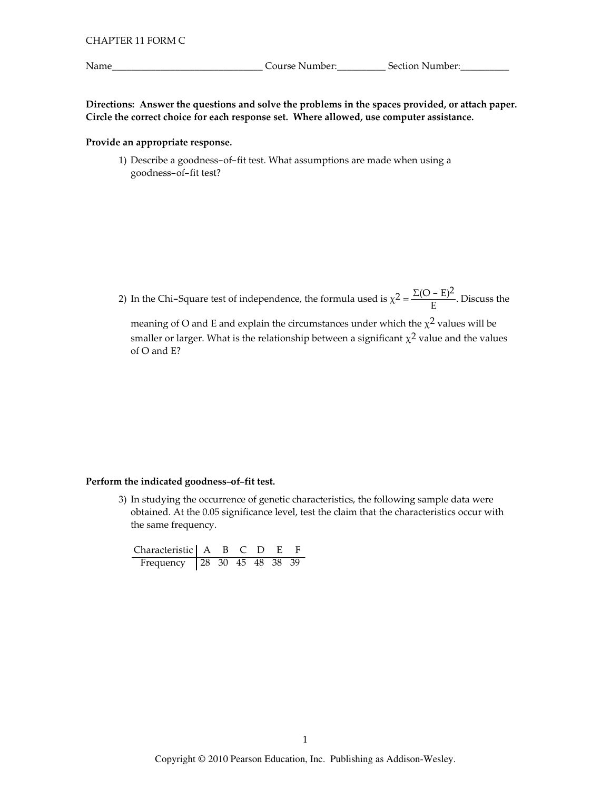Name\_

Course Number:<br>
<u>Course Number:</u>

Directions: Answer the questions and solve the problems in the spaces provided, or attach paper. Circle the correct choice for each response set. Where allowed, use computer assistance.

### Provide an appropriate response.

1) Describe a goodness-of-fit test. What assumptions are made when using a goodness-of-fit test?

2) In the Chi–Square test of independence, the formula used is  $\chi^2 = \frac{\Sigma (O - E)^2}{E}$ . Discuss the

meaning of O and E and explain the circumstances under which the  $\chi^2$  values will be smaller or larger. What is the relationship between a significant  $\chi^2$  value and the values of O and E?

#### Perform the indicated goodness-of-fit test.

3) In studying the occurrence of genetic characteristics, the following sample data were obtained. At the 0.05 significance level, test the claim that the characteristics occur with the same frequency.

Characteristic A B C D E F<br>Frequency 28 30 45 48 38 39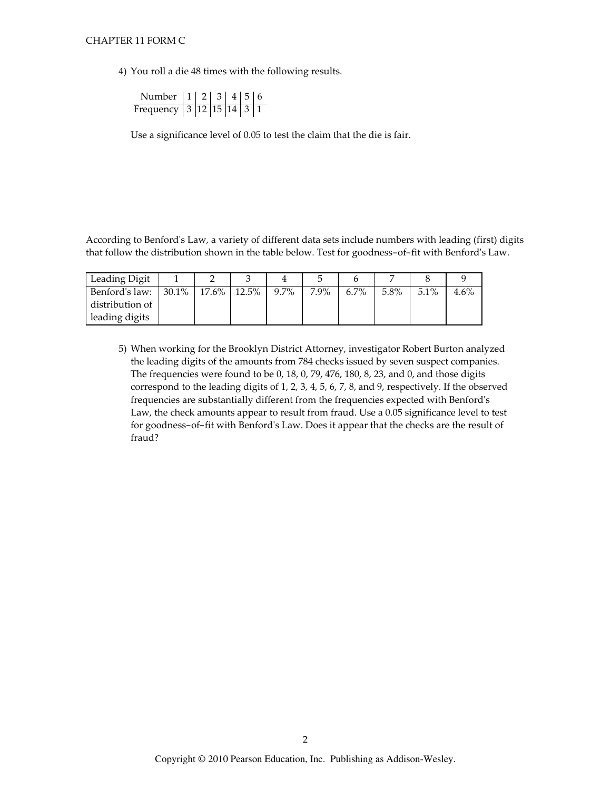### CHAPTER 11 FORM C

4) You roll a die 48 times with the following results.

| Number   1   2   3   4   5   6 |  |  |  |
|--------------------------------|--|--|--|
| Frequency 3 12 15 14 3 1       |  |  |  |

Use a significance level of 0.05 to test the claim that the die is fair.

According to Benford's Law, a variety of different data sets include numbers with leading (first) digits that follow the distribution shown in the table below. Test for goodness-of-fit with Benford's Law.

| Leading Digit                    |  |         |      |      |      |         |      |
|----------------------------------|--|---------|------|------|------|---------|------|
| Benford's law: 30.1% 17.6% 12.5% |  | $9.7\%$ | 7.9% | 6.7% | 5.8% | $5.1\%$ | 4.6% |
| distribution of                  |  |         |      |      |      |         |      |
| leading digits                   |  |         |      |      |      |         |      |

5) When working for the Brooklyn District Attorney, investigator Robert Burton analyzed the leading digits of the amounts from 784 checks issued by seven suspect companies. The frequencies were found to be 0, 18, 0, 79, 476, 180, 8, 23, and 0, and those digits correspond to the leading digits of 1, 2, 3, 4, 5, 6, 7, 8, and 9, respectively. If the observed frequencies are substantially different from the frequencies expected with Benford's Law, the check amounts appear to result from fraud. Use a 0.05 significance level to test for goodness-of-fit with Benford's Law. Does it appear that the checks are the result of fraud?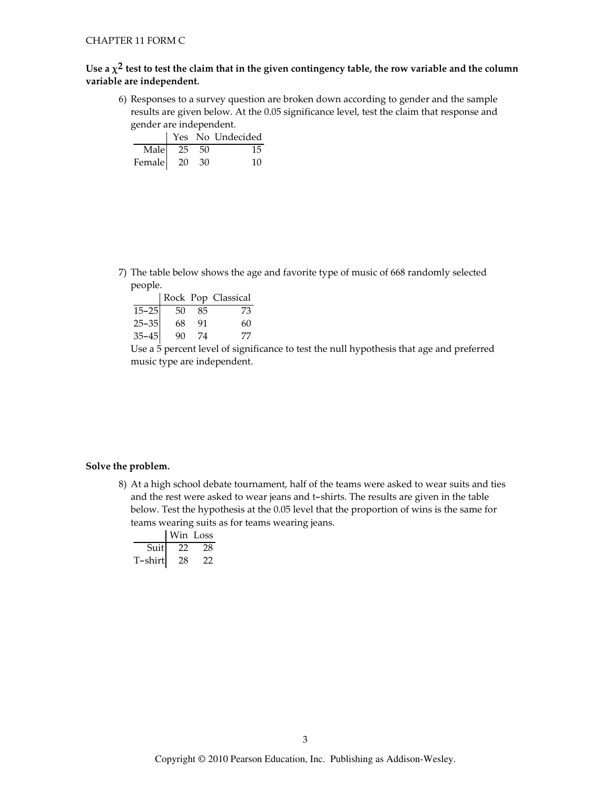# Use a  $\chi^2$  test to test the claim that in the given contingency table, the row variable and the column variable are independent.

6) Responses to a survey question are broken down according to gender and the sample results are given below. At the 0.05 significance level, test the claim that response and gender are independent.

|                   |  | Yes No Undecided |
|-------------------|--|------------------|
| Male $25\quad 50$ |  | 15               |
| Female 20 30      |  | 10               |

7) The table below shows the age and favorite type of music of 668 randomly selected people.

|           |     |    | Rock Pop Classical |
|-----------|-----|----|--------------------|
| $15 - 25$ | -50 | 85 | 73                 |
| $25 - 35$ | 68  | 91 | 60                 |
| $35 - 45$ | 90  | 74 | 77                 |

Use a 5 percent level of significance to test the null hypothesis that age and preferred music type are independent.

### Solve the problem.

8) At a high school debate tournament, half of the teams were asked to wear suits and ties and the rest were asked to wear jeans and t-shirts. The results are given in the table below. Test the hypothesis at the 0.05 level that the proportion of wins is the same for teams wearing suits as for teams wearing jeans.

|         |     | Win Loss |  |
|---------|-----|----------|--|
| Suit    | -77 | -28      |  |
| T-shirt | 28  |          |  |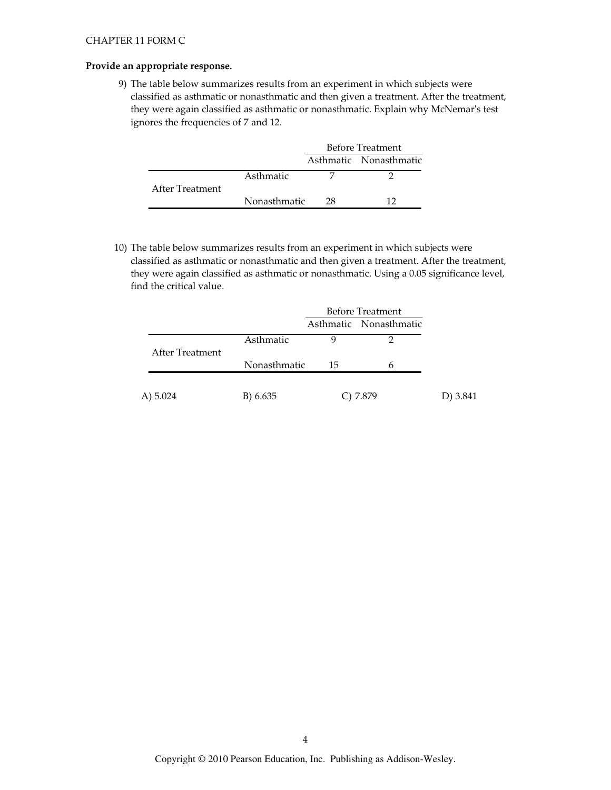### Provide an appropriate response.

9) The table below summarizes results from an experiment in which subjects were classified as asthmatic or nonasthmatic and then given a treatment. After the treatment, they were again classified as asthmatic or nonasthmatic. Explain why McNemar's test ignores the frequencies of 7 and 12.

|                 |              | <b>Before Treatment</b> |                        |
|-----------------|--------------|-------------------------|------------------------|
|                 |              |                         | Asthmatic Nonasthmatic |
|                 | Asthmatic    |                         |                        |
| After Treatment |              |                         |                        |
|                 | Nonasthmatic | 28                      |                        |

10) The table below summarizes results from an experiment in which subjects were classified as asthmatic or nonasthmatic and then given a treatment. After the treatment, they were again classified as asthmatic or nonasthmatic. Using a 0.05 significance level, find the critical value.

|                 | <b>Before Treatment</b> |    |                        |          |
|-----------------|-------------------------|----|------------------------|----------|
|                 |                         |    | Asthmatic Nonasthmatic |          |
|                 | Asthmatic               |    |                        |          |
| After Treatment |                         |    |                        |          |
|                 | Nonasthmatic            | 15 | 6                      |          |
|                 |                         |    |                        |          |
| A) $5.024$      | B) 6.635                |    | C) 7.879               | D) 3.841 |
|                 |                         |    |                        |          |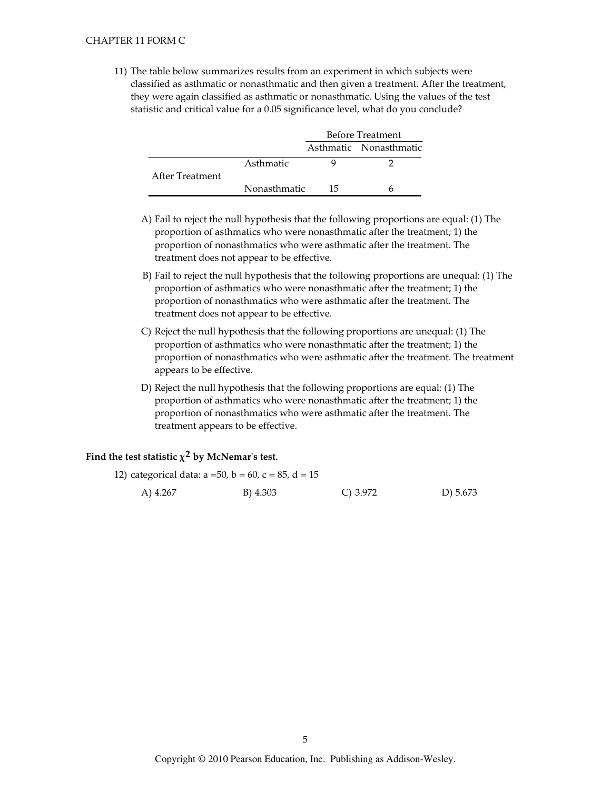11) The table below summarizes results from an experiment in which subjects were classified as asthmatic or nonasthmatic and then given a treatment. After the treatment, they were again classified as asthmatic or nonasthmatic. Using the values of the test statistic and critical value for a 0.05 significance level, what do you conclude?

|                 |              | <b>Before Treatment</b> |                        |
|-----------------|--------------|-------------------------|------------------------|
|                 |              |                         | Asthmatic Nonasthmatic |
|                 | Asthmatic    |                         |                        |
| After Treatment |              |                         |                        |
|                 | Nonasthmatic | 15                      |                        |

- A) Fail to reject the null hypothesis that the following proportions are equal: (1) The proportion of asthmatics who were nonasthmatic after the treatment; 1) the proportion of nonasthmatics who were asthmatic after the treatment. The treatment does not appear to be effective.
- B) Fail to reject the null hypothesis that the following proportions are unequal: (1) The proportion of asthmatics who were nonasthmatic after the treatment; 1) the proportion of nonasthmatics who were asthmatic after the treatment. The treatment does not appear to be effective.
- C) Reject the null hypothesis that the following proportions are unequal: (1) The proportion of asthmatics who were nonasthmatic after the treatment; 1) the proportion of nonasthmatics who were asthmatic after the treatment. The treatment appears to be effective.
- D) Reject the null hypothesis that the following proportions are equal: (1) The proportion of asthmatics who were nonasthmatic after the treatment; 1) the proportion of nonasthmatics who were asthmatic after the treatment. The treatment appears to be effective.

# Find the test statistic  $\chi^2$  by McNemar's test.

| 12) categorical data: $a = 50$ , $b = 60$ , $c = 85$ , $d = 15$ |          |            |            |
|-----------------------------------------------------------------|----------|------------|------------|
| A) 4.267                                                        | B) 4.303 | C) $3.972$ | D) $5.673$ |